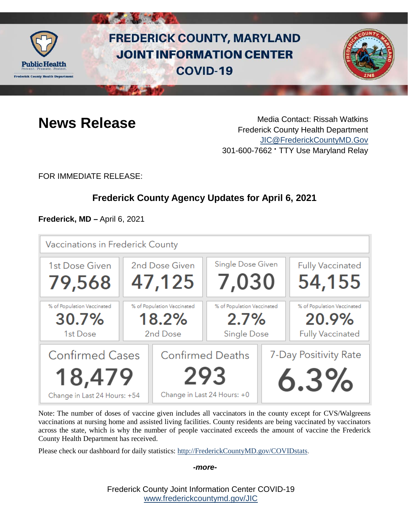

# **FREDERICK COUNTY, MARYLAND JOINT INFORMATION CENTER COVID-19**



**News Release** Media Contact: Rissah Watkins Frederick County Health Department [JIC@FrederickCountyMD.Gov](mailto:JIC@FrederickCountyMD.Gov) 301-600-7662 • TTY Use Maryland Relay

FOR IMMEDIATE RELEASE:

## **Frederick County Agency Updates for April 6, 2021**

**Frederick, MD –** April 6, 2021



Note: The number of doses of vaccine given includes all vaccinators in the county except for CVS/Walgreens vaccinations at nursing home and assisted living facilities. County residents are being vaccinated by vaccinators across the state, which is why the number of people vaccinated exceeds the amount of vaccine the Frederick County Health Department has received.

Please check our dashboard for daily statistics: [http://FrederickCountyMD.gov/COVIDstats.](http://frederickcountymd.gov/COVIDstats)

#### *-more-*

Frederick County Joint Information Center COVID-19 [www.frederickcountymd.gov/JIC](https://frederickcountymd.gov/JIC)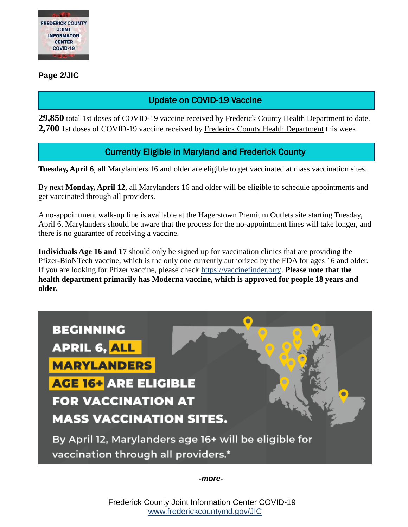

#### **Page 2/JIC**

### Update on COVID-19 Vaccine

**29,850** total 1st doses of COVID-19 vaccine received by Frederick County Health Department to date. **2,700** 1st doses of COVID-19 vaccine received by Frederick County Health Department this week.

### Currently Eligible in Maryland and Frederick County

**Tuesday, April 6**, all Marylanders 16 and older are eligible to get vaccinated at mass vaccination sites.

By next **Monday, April 12**, all Marylanders 16 and older will be eligible to schedule appointments and get vaccinated through all providers.

A no-appointment walk-up line is available at the Hagerstown Premium Outlets site starting Tuesday, April 6. Marylanders should be aware that the process for the no-appointment lines will take longer, and there is no guarantee of receiving a vaccine.

**Individuals Age 16 and 17** should only be signed up for vaccination clinics that are providing the Pfizer-BioNTech vaccine, which is the only one currently authorized by the FDA for ages 16 and older. If you are looking for Pfizer vaccine, please check [https://vaccinefinder.org/.](https://vaccinefinder.org/) **Please note that the health department primarily has Moderna vaccine, which is approved for people 18 years and older.**



*-more-*